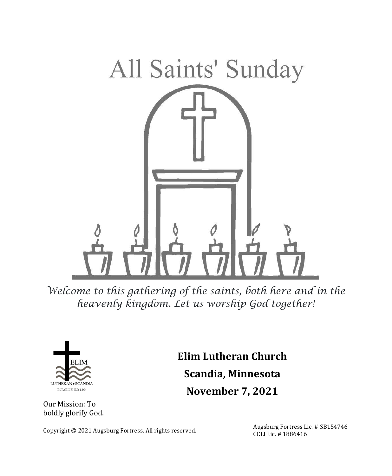

*Welcome to this gathering of the saints, both here and in the heavenly kingdom. Let us worship God together!*



Our Mission: To boldly glorify God. **Elim Lutheran Church Scandia, Minnesota November 7, 2021**

Copyright © 2021 Augsburg Fortress. All rights reserved.<br>Contribution of the distribution of the distribution of the distribution of the distribution of the distribution of the distribution of the distribution of the distr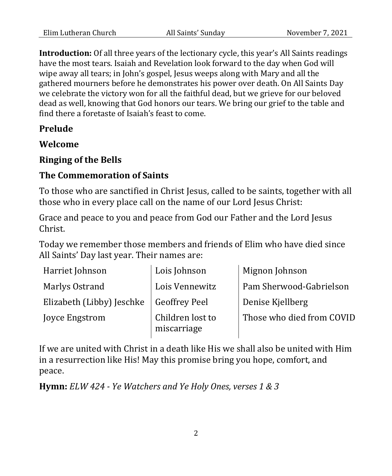**Introduction:** Of all three years of the lectionary cycle, this year's All Saints readings have the most tears. Isaiah and Revelation look forward to the day when God will wipe away all tears; in John's gospel, Jesus weeps along with Mary and all the gathered mourners before he demonstrates his power over death. On All Saints Day we celebrate the victory won for all the faithful dead, but we grieve for our beloved dead as well, knowing that God honors our tears. We bring our grief to the table and find there a foretaste of Isaiah's feast to come.

# **Prelude**

**Welcome**

# **Ringing of the Bells**

## **The Commemoration of Saints**

To those who are sanctified in Christ Jesus, called to be saints, together with all those who in every place call on the name of our Lord Jesus Christ:

Grace and peace to you and peace from God our Father and the Lord Jesus Christ.

Today we remember those members and friends of Elim who have died since All Saints' Day last year. Their names are:

| Harriet Johnson           | Lois Johnson                    | Mignon Johnson            |
|---------------------------|---------------------------------|---------------------------|
| Marlys Ostrand            | Lois Vennewitz                  | Pam Sherwood-Gabrielson   |
| Elizabeth (Libby) Jeschke | <b>Geoffrey Peel</b>            | Denise Kjellberg          |
| Joyce Engstrom            | Children lost to<br>miscarriage | Those who died from COVID |

If we are united with Christ in a death like His we shall also be united with Him in a resurrection like His! May this promise bring you hope, comfort, and peace.

**Hymn:** *ELW 424 - Ye Watchers and Ye Holy Ones, verses 1 & 3*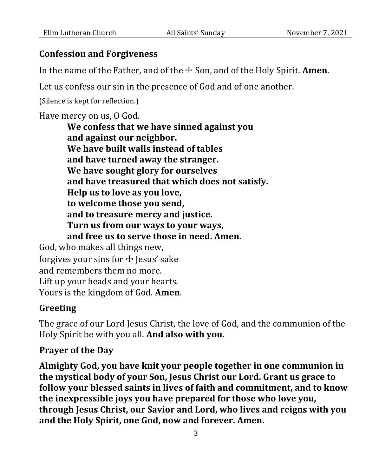#### **Confession and Forgiveness**

In the name of the Father, and of the ☩ Son, and of the Holy Spirit. **Amen**.

Let us confess our sin in the presence of God and of one another.

(Silence is kept for reflection.)

Have mercy on us, O God.

**We confess that we have sinned against you and against our neighbor. We have built walls instead of tables and have turned away the stranger. We have sought glory for ourselves and have treasured that which does not satisfy. Help us to love as you love, to welcome those you send, and to treasure mercy and justice. Turn us from our ways to your ways, and free us to serve those in need. Amen.** God, who makes all things new, forgives your sins for  $+$  Jesus' sake and remembers them no more.

Lift up your heads and your hearts. Yours is the kingdom of God. **Amen**.

### **Greeting**

The grace of our Lord Jesus Christ, the love of God, and the communion of the Holy Spirit be with you all. **And also with you.**

#### **Prayer of the Day**

**Almighty God, you have knit your people together in one communion in the mystical body of your Son, Jesus Christ our Lord. Grant us grace to follow your blessed saints in lives of faith and commitment, and to know the inexpressible joys you have prepared for those who love you, through Jesus Christ, our Savior and Lord, who lives and reigns with you and the Holy Spirit, one God, now and forever. Amen.**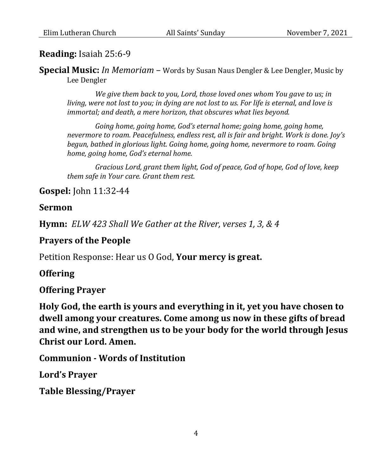## **Reading:** Isaiah 25:6-9

**Special Music:** *In Memoriam* – Words by Susan Naus Dengler & Lee Dengler, Music by Lee Dengler

*We give them back to you, Lord, those loved ones whom You gave to us; in living, were not lost to you; in dying are not lost to us. For life is eternal, and love is immortal; and death, a mere horizon, that obscures what lies beyond.*

*Going home, going home, God's eternal home; going home, going home, nevermore to roam. Peacefulness, endless rest, all is fair and bright. Work is done. Joy's begun, bathed in glorious light. Going home, going home, nevermore to roam. Going home, going home, God's eternal home.*

*Gracious Lord, grant them light, God of peace, God of hope, God of love, keep them safe in Your care. Grant them rest.*

## **Gospel:** John 11:32-44

#### **Sermon**

**Hymn:** *ELW 423 Shall We Gather at the River, verses 1, 3, & 4*

## **Prayers of the People**

Petition Response: Hear us O God, **Your mercy is great.**

## **Offering**

### **Offering Prayer**

**Holy God, the earth is yours and everything in it, yet you have chosen to dwell among your creatures. Come among us now in these gifts of bread and wine, and strengthen us to be your body for the world through Jesus Christ our Lord. Amen.**

**Communion - Words of Institution**

**Lord's Prayer**

**Table Blessing/Prayer**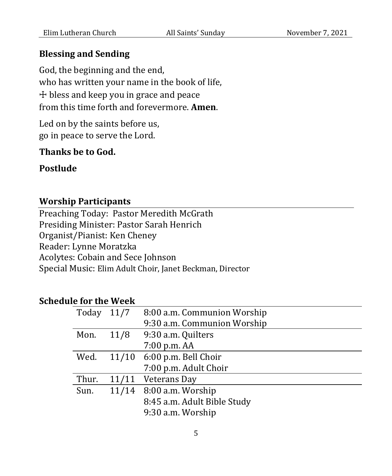#### **Blessing and Sending**

God, the beginning and the end, who has written your name in the book of life, ☩ bless and keep you in grace and peace from this time forth and forevermore. **Amen**.

Led on by the saints before us, go in peace to serve the Lord.

## **Thanks be to God.**

# **Postlude**

#### **Worship Participants**

Preaching Today: Pastor Meredith McGrath Presiding Minister: Pastor Sarah Henrich Organist/Pianist: Ken Cheney Reader: Lynne Moratzka Acolytes: Cobain and Sece Johnson Special Music: Elim Adult Choir, Janet Beckman, Director

#### **Schedule for the Week**

| Today | 11/7 | 8:00 a.m. Communion Worship |
|-------|------|-----------------------------|
|       |      | 9:30 a.m. Communion Worship |
| Mon.  | 11/8 | 9:30 a.m. Quilters          |
|       |      | 7:00 p.m. AA                |
| Wed.  |      | 11/10 6:00 p.m. Bell Choir  |
|       |      | 7:00 p.m. Adult Choir       |
| Thur. |      | 11/11 Veterans Day          |
| Sun.  |      | 11/14 8:00 a.m. Worship     |
|       |      | 8:45 a.m. Adult Bible Study |
|       |      | 9:30 a.m. Worship           |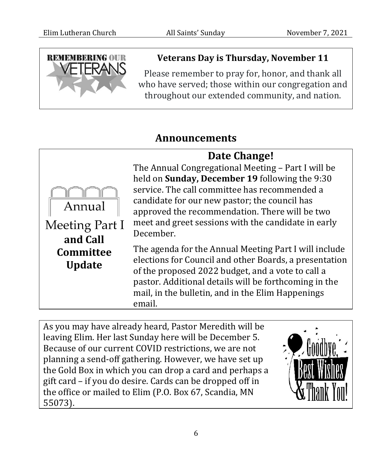

# **Veterans Day is Thursday, November 11**

Please remember to pray for, honor, and thank all who have served; those within our congregation and throughout our extended community, and nation.

# **Announcements**



As you may have already heard, Pastor Meredith will be leaving Elim. Her last Sunday here will be December 5. Because of our current COVID restrictions, we are not planning a send-off gathering. However, we have set up the Gold Box in which you can drop a card and perhaps a gift card – if you do desire. Cards can be dropped off in the office or mailed to Elim (P.O. Box 67, Scandia, MN 55073).

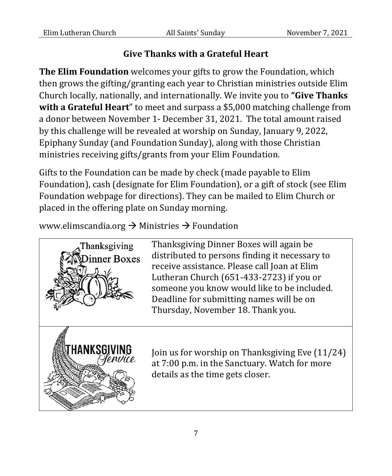# **Give Thanks with a Grateful Heart**

**The Elim Foundation** welcomes your gifts to grow the Foundation, which then grows the gifting/granting each year to Christian ministries outside Elim Church locally, nationally, and internationally. We invite you to **"Give Thanks with a Grateful Heart**" to meet and surpass a \$5,000 matching challenge from a donor between November 1- December 31, 2021. The total amount raised by this challenge will be revealed at worship on Sunday, January 9, 2022, Epiphany Sunday (and Foundation Sunday), along with those Christian ministries receiving gifts/grants from your Elim Foundation.

Gifts to the Foundation can be made by check (made payable to Elim Foundation), cash (designate for Elim Foundation), or a gift of stock (see Elim Foundation webpage for directions). They can be mailed to Elim Church or placed in the offering plate on Sunday morning.

www.elimscandia.org  $\rightarrow$  Ministries  $\rightarrow$  Foundation